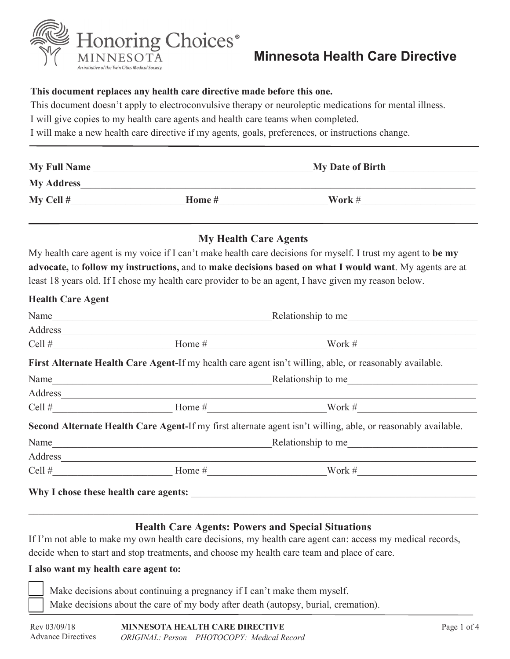

# **Minnesota Health Care Directive**

#### **This document replaces any health care directive made before this one.**

This document doesn't apply to electroconvulsive therapy or neuroleptic medications for mental illness.

I will give copies to my health care agents and health care teams when completed.

I will make a new health care directive if my agents, goals, preferences, or instructions change.

| <b>My Full Name</b><br><b>My Address</b> |  | <b>My Date of Birth</b> |  |
|------------------------------------------|--|-------------------------|--|
|                                          |  |                         |  |

#### **My Health Care Agents**

My health care agent is my voice if I can't make health care decisions for myself. I trust my agent to **be my advocate,** to **follow my instructions,** and to **make decisions based on what I would want**. My agents are at least 18 years old. If I chose my health care provider to be an agent, I have given my reason below.

#### **Health Care Agent**

| Name    |                                                                                                                         | Relationship to me                                                                                           |  |
|---------|-------------------------------------------------------------------------------------------------------------------------|--------------------------------------------------------------------------------------------------------------|--|
| Address | <u> 1989 - John Stoff, deutscher Stoff, der Stoff, der Stoff, der Stoff, der Stoff, der Stoff, der Stoff, der Stoff</u> |                                                                                                              |  |
|         |                                                                                                                         | Work #                                                                                                       |  |
|         |                                                                                                                         | First Alternate Health Care Agent-If my health care agent isn't willing, able, or reasonably available.      |  |
|         | Name                                                                                                                    | Relationship to me                                                                                           |  |
|         | Address                                                                                                                 |                                                                                                              |  |
|         |                                                                                                                         | Home $\#$ Work $\#$                                                                                          |  |
|         |                                                                                                                         | Second Alternate Health Care Agent-If my first alternate agent isn't willing, able, or reasonably available. |  |
| Name    | <u> 1989 - Johann Barbara, martxa alemaniar amerikan personal (</u>                                                     | Relationship to me                                                                                           |  |
|         |                                                                                                                         |                                                                                                              |  |
|         | Cell # $\qquad \qquad$ Home #                                                                                           | Work #                                                                                                       |  |
|         | Why I chose these health care agents:                                                                                   |                                                                                                              |  |
|         |                                                                                                                         |                                                                                                              |  |

#### **Health Care Agents: Powers and Special Situations**

If I'm not able to make my own health care decisions, my health care agent can: access my medical records, decide when to start and stop treatments, and choose my health care team and place of care.

#### **I also want my health care agent to:**

Make decisions about continuing a pregnancy if I can't make them myself. Make decisions about the care of my body after death (autopsy, burial, cremation).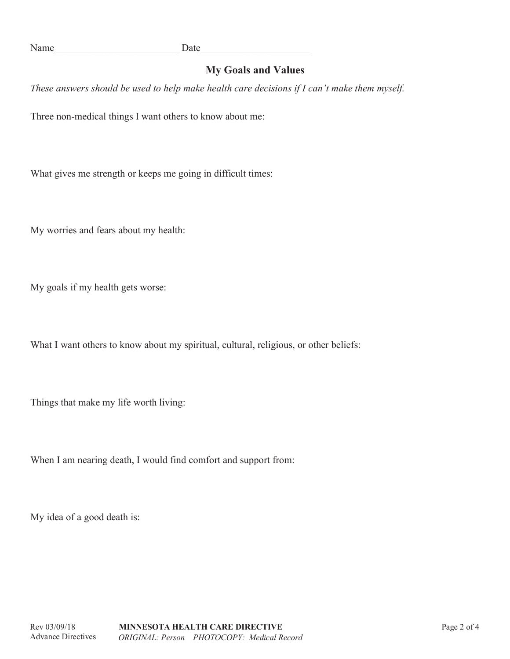# **My Goals and Values**

*These answers should be used to help make health care decisions if I can't make them myself.*

Three non-medical things I want others to know about me:

What gives me strength or keeps me going in difficult times:

My worries and fears about my health:

My goals if my health gets worse:

What I want others to know about my spiritual, cultural, religious, or other beliefs:

Things that make my life worth living:

When I am nearing death, I would find comfort and support from:

My idea of a good death is: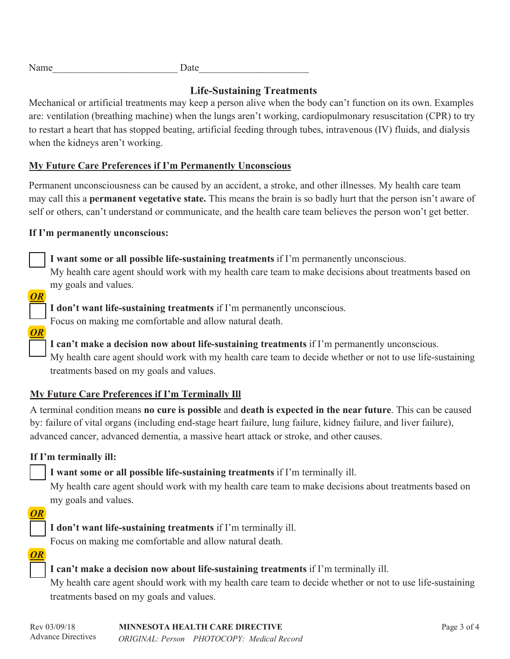| Name | Date |
|------|------|
|      |      |

# **Life-Sustaining Treatments**

Mechanical or artificial treatments may keep a person alive when the body can't function on its own. Examples are: ventilation (breathing machine) when the lungs aren't working, cardiopulmonary resuscitation (CPR) to try to restart a heart that has stopped beating, artificial feeding through tubes, intravenous (IV) fluids, and dialysis when the kidneys aren't working.

### **My Future Care Preferences if I'm Permanently Unconscious**

Permanent unconsciousness can be caused by an accident, a stroke, and other illnesses. My health care team may call this a **permanent vegetative state.** This means the brain is so badly hurt that the person isn't aware of self or others, can't understand or communicate, and the health care team believes the person won't get better.

#### **If I'm permanently unconscious:**



 **I want some or all possible life-sustaining treatments** if I'm permanently unconscious. My health care agent should work with my health care team to make decisions about treatments based on my goals and values.

*OR*

*OR*

 **I don't want life-sustaining treatments** if I'm permanently unconscious. Focus on making me comfortable and allow natural death.

 **I can't make a decision now about life-sustaining treatments** if I'm permanently unconscious. My health care agent should work with my health care team to decide whether or not to use life-sustaining treatments based on my goals and values.

# **My Future Care Preferences if I'm Terminally Ill**

A terminal condition means **no cure is possible** and **death is expected in the near future**. This can be caused by: failure of vital organs (including end-stage heart failure, lung failure, kidney failure, and liver failure), advanced cancer, advanced dementia, a massive heart attack or stroke, and other causes.

# **If I'm terminally ill:**

 **I want some or all possible life-sustaining treatments** if I'm terminally ill.

 My health care agent should work with my health care team to make decisions about treatments based on my goals and values.



**I don't want life-sustaining treatments** if I'm terminally ill.

Focus on making me comfortable and allow natural death.

*OR*

# **I can't make a decision now about life-sustaining treatments** if I'm terminally ill.

 My health care agent should work with my health care team to decide whether or not to use life-sustaining treatments based on my goals and values.